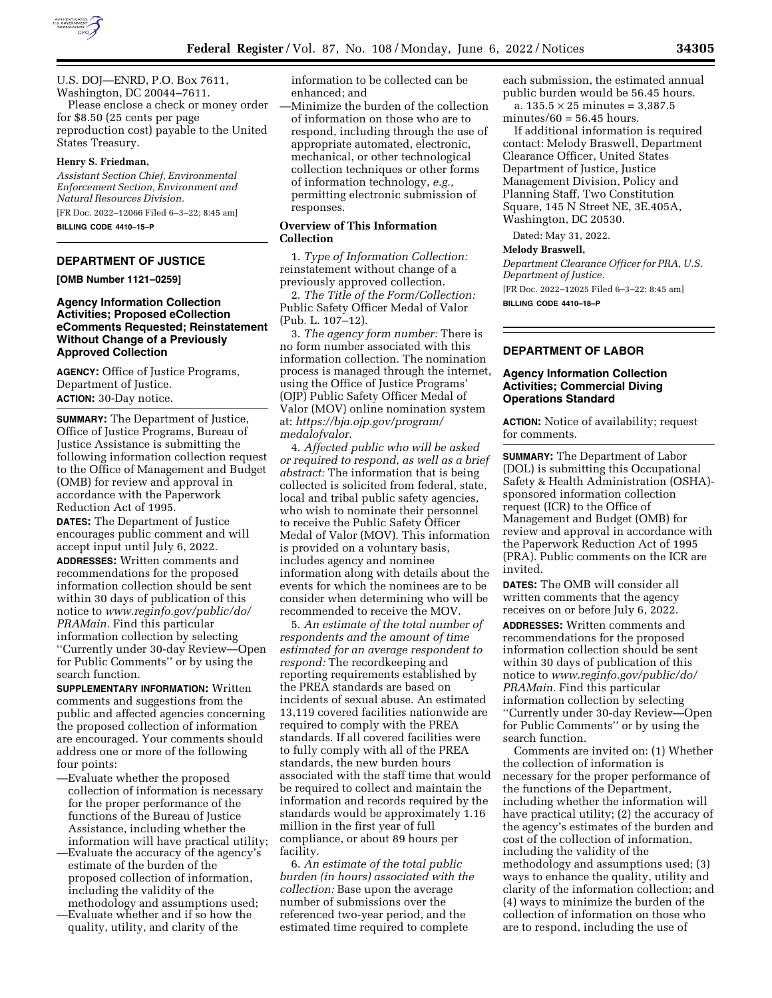

U.S. DOJ—ENRD, P.O. Box 7611, Washington, DC 20044–7611.

Please enclose a check or money order for \$8.50 (25 cents per page reproduction cost) payable to the United States Treasury.

#### **Henry S. Friedman,**

*Assistant Section Chief, Environmental Enforcement Section, Environment and Natural Resources Division.*  [FR Doc. 2022–12066 Filed 6–3–22; 8:45 am]

**BILLING CODE 4410–15–P** 

### **DEPARTMENT OF JUSTICE**

**[OMB Number 1121–0259]** 

## **Agency Information Collection Activities; Proposed eCollection eComments Requested; Reinstatement Without Change of a Previously Approved Collection**

**AGENCY:** Office of Justice Programs, Department of Justice. **ACTION:** 30-Day notice.

**SUMMARY:** The Department of Justice, Office of Justice Programs, Bureau of Justice Assistance is submitting the following information collection request to the Office of Management and Budget (OMB) for review and approval in accordance with the Paperwork Reduction Act of 1995.

**DATES:** The Department of Justice encourages public comment and will accept input until July 6, 2022.

**ADDRESSES:** Written comments and recommendations for the proposed information collection should be sent within 30 days of publication of this notice to *[www.reginfo.gov/public/do/](http://www.reginfo.gov/public/do/PRAMain) [PRAMain.](http://www.reginfo.gov/public/do/PRAMain)* Find this particular information collection by selecting ''Currently under 30-day Review—Open for Public Comments'' or by using the search function.

**SUPPLEMENTARY INFORMATION:** Written comments and suggestions from the public and affected agencies concerning the proposed collection of information are encouraged. Your comments should address one or more of the following four points:

- —Evaluate whether the proposed collection of information is necessary for the proper performance of the functions of the Bureau of Justice Assistance, including whether the information will have practical utility;
- —Evaluate the accuracy of the agency's estimate of the burden of the proposed collection of information, including the validity of the methodology and assumptions used;
- —Evaluate whether and if so how the quality, utility, and clarity of the

information to be collected can be enhanced; and

—Minimize the burden of the collection of information on those who are to respond, including through the use of appropriate automated, electronic, mechanical, or other technological collection techniques or other forms of information technology, *e.g.,*  permitting electronic submission of responses.

# **Overview of This Information Collection**

1. *Type of Information Collection:*  reinstatement without change of a previously approved collection.

2. *The Title of the Form/Collection:*  Public Safety Officer Medal of Valor (Pub. L. 107–12).

3. *The agency form number:* There is no form number associated with this information collection. The nomination process is managed through the internet, using the Office of Justice Programs' (OJP) Public Safety Officer Medal of Valor (MOV) online nomination system at: *[https://bja.ojp.gov/program/](https://bja.ojp.gov/program/medalofvalor)  [medalofvalor](https://bja.ojp.gov/program/medalofvalor)*.

4. *Affected public who will be asked or required to respond, as well as a brief abstract:* The information that is being collected is solicited from federal, state, local and tribal public safety agencies, who wish to nominate their personnel to receive the Public Safety Officer Medal of Valor (MOV). This information is provided on a voluntary basis, includes agency and nominee information along with details about the events for which the nominees are to be consider when determining who will be recommended to receive the MOV.

5. *An estimate of the total number of respondents and the amount of time estimated for an average respondent to respond:* The recordkeeping and reporting requirements established by the PREA standards are based on incidents of sexual abuse. An estimated 13,119 covered facilities nationwide are required to comply with the PREA standards. If all covered facilities were to fully comply with all of the PREA standards, the new burden hours associated with the staff time that would be required to collect and maintain the information and records required by the standards would be approximately 1.16 million in the first year of full compliance, or about 89 hours per facility.

6. *An estimate of the total public burden (in hours) associated with the collection:* Base upon the average number of submissions over the referenced two-year period, and the estimated time required to complete

each submission, the estimated annual public burden would be 56.45 hours.

a.  $135.5 \times 25$  minutes = 3,387.5 minutes/ $60 = 56.45$  hours.

If additional information is required contact: Melody Braswell, Department Clearance Officer, United States Department of Justice, Justice Management Division, Policy and Planning Staff, Two Constitution Square, 145 N Street NE, 3E.405A, Washington, DC 20530.

Dated: May 31, 2022.

#### **Melody Braswell,**

*Department Clearance Officer for PRA, U.S. Department of Justice.*  [FR Doc. 2022–12025 Filed 6–3–22; 8:45 am] **BILLING CODE 4410–18–P** 

### **DEPARTMENT OF LABOR**

#### **Agency Information Collection Activities; Commercial Diving Operations Standard**

**ACTION:** Notice of availability; request for comments.

**SUMMARY:** The Department of Labor (DOL) is submitting this Occupational Safety & Health Administration (OSHA) sponsored information collection request (ICR) to the Office of Management and Budget (OMB) for review and approval in accordance with the Paperwork Reduction Act of 1995 (PRA). Public comments on the ICR are invited.

**DATES:** The OMB will consider all written comments that the agency receives on or before July 6, 2022.

**ADDRESSES:** Written comments and recommendations for the proposed information collection should be sent within 30 days of publication of this notice to *[www.reginfo.gov/public/do/](http://www.reginfo.gov/public/do/PRAMain) [PRAMain.](http://www.reginfo.gov/public/do/PRAMain)* Find this particular information collection by selecting ''Currently under 30-day Review—Open for Public Comments'' or by using the search function.

Comments are invited on: (1) Whether the collection of information is necessary for the proper performance of the functions of the Department, including whether the information will have practical utility; (2) the accuracy of the agency's estimates of the burden and cost of the collection of information, including the validity of the methodology and assumptions used; (3) ways to enhance the quality, utility and clarity of the information collection; and (4) ways to minimize the burden of the collection of information on those who are to respond, including the use of